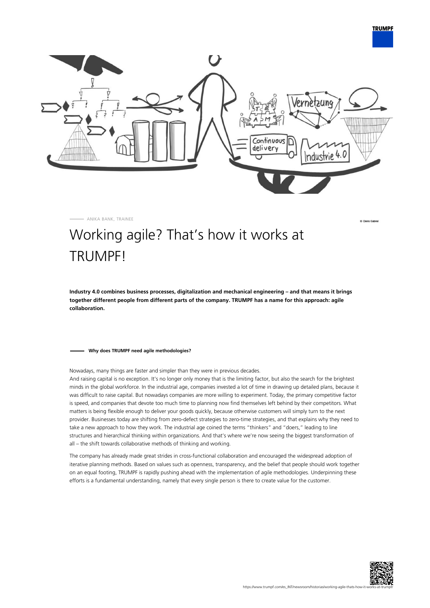

ANIKA BANK, TRAINEE

**TRUMPF** 

## Working agile? That's how it works at TRUMPF!

**Industry 4.0 combines business processes, digitalization and mechanical engineering – and that means it brings together different people from different parts of the company. TRUMPF has a name for this approach: agile collaboration.**

## **Why does TRUMPF need agile methodologies?**

Nowadays, many things are faster and simpler than they were in previous decades.

And raising capital is no exception. It's no longer only money that is the limiting factor, but also the search for the brightest minds in the global workforce. In the industrial age, companies invested a lot of time in drawing up detailed plans, because it was difficult to raise capital. But nowadays companies are more willing to experiment. Today, the primary competitive factor is speed, and companies that devote too much time to planning now find themselves left behind by their competitors. What matters is being flexible enough to deliver your goods quickly, because otherwise customers will simply turn to the next provider. Businesses today are shifting from zero-defect strategies to zero-time strategies, and that explains why they need to take a new approach to how they work. The industrial age coined the terms "thinkers" and "doers," leading to line structures and hierarchical thinking within organizations. And that's where we're now seeing the biggest transformation of all – the shift towards collaborative methods of thinking and working.

The company has already made great strides in cross-functional collaboration and encouraged the widespread adoption of iterative planning methods. Based on values such as openness, transparency, and the belief that people should work together on an equal footing, TRUMPF is rapidly pushing ahead with the implementation of agile methodologies. Underpinning these efforts is a fundamental understanding, namely that every single person is there to create value for the customer.